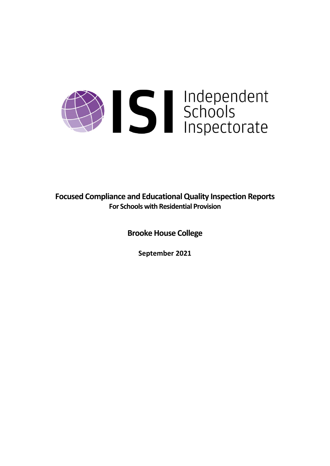# Summerstandendendendendendenden Schools<br>Inspectorate

**Focused Compliance and EducationalQuality Inspection Reports For Schools with Residential Provision**

**Brooke House College**

**September 2021**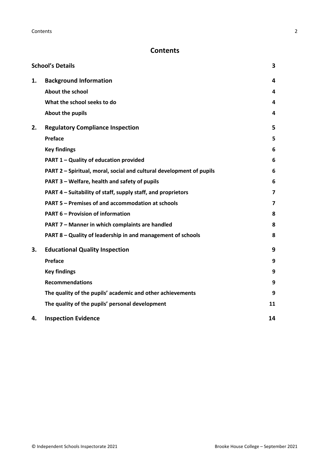# **Contents**

|    | <b>School's Details</b>                                              | 3  |
|----|----------------------------------------------------------------------|----|
| 1. | <b>Background Information</b>                                        | 4  |
|    | <b>About the school</b>                                              | 4  |
|    | What the school seeks to do                                          | 4  |
|    | About the pupils                                                     | 4  |
| 2. | <b>Regulatory Compliance Inspection</b>                              | 5  |
|    | Preface                                                              | 5  |
|    | <b>Key findings</b>                                                  | 6  |
|    | PART 1 - Quality of education provided                               | 6  |
|    | PART 2 - Spiritual, moral, social and cultural development of pupils | 6  |
|    | PART 3 - Welfare, health and safety of pupils                        | 6  |
|    | PART 4 – Suitability of staff, supply staff, and proprietors         | 7  |
|    | PART 5 - Premises of and accommodation at schools                    | 7  |
|    | <b>PART 6 - Provision of information</b>                             | 8  |
|    | PART 7 - Manner in which complaints are handled                      | 8  |
|    | PART 8 - Quality of leadership in and management of schools          | 8  |
| 3. | <b>Educational Quality Inspection</b>                                | 9  |
|    | Preface                                                              | 9  |
|    | <b>Key findings</b>                                                  | 9  |
|    | <b>Recommendations</b>                                               | 9  |
|    | The quality of the pupils' academic and other achievements           | 9  |
|    | The quality of the pupils' personal development                      | 11 |
| 4. | <b>Inspection Evidence</b>                                           | 14 |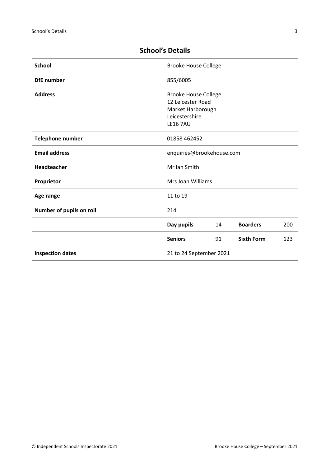| <b>School</b>            | <b>Brooke House College</b> |    |                   |     |
|--------------------------|-----------------------------|----|-------------------|-----|
| <b>DfE</b> number        | 855/6005                    |    |                   |     |
| <b>Address</b>           | <b>Brooke House College</b> |    |                   |     |
|                          | 12 Leicester Road           |    |                   |     |
|                          | Market Harborough           |    |                   |     |
|                          | Leicestershire              |    |                   |     |
|                          | <b>LE16 7AU</b>             |    |                   |     |
| <b>Telephone number</b>  | 01858 462452                |    |                   |     |
| <b>Email address</b>     | enquiries@brookehouse.com   |    |                   |     |
| Headteacher              | Mr Ian Smith                |    |                   |     |
| Proprietor               | Mrs Joan Williams           |    |                   |     |
| Age range                | 11 to 19                    |    |                   |     |
| Number of pupils on roll | 214                         |    |                   |     |
|                          | Day pupils                  | 14 | <b>Boarders</b>   | 200 |
|                          | <b>Seniors</b>              | 91 | <b>Sixth Form</b> | 123 |
| <b>Inspection dates</b>  | 21 to 24 September 2021     |    |                   |     |

# <span id="page-2-0"></span>**School's Details**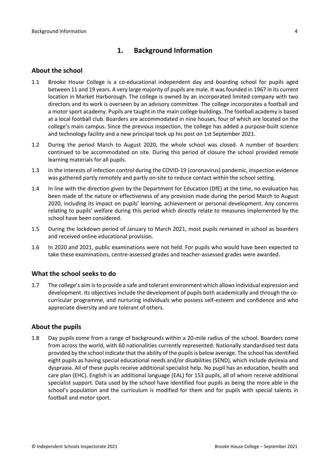# <span id="page-3-0"></span>**1. Background Information**

#### <span id="page-3-1"></span>**About the school**

- 1.1 Brooke House College is a co-educational independent day and boarding school for pupils aged between 11 and 19 years. A very large majority of pupils are male. It was founded in 1967 in its current location in Market Harborough. The college is owned by an incorporated limited company with two directors and its work is overseen by an advisory committee. The college incorporates a football and a motor sport academy. Pupils are taught in the main college buildings. The football academy is based at a local football club. Boarders are accommodated in nine houses, four of which are located on the college's main campus. Since the previous inspection, the college has added a purpose-built science and technology facility and a new principal took up his post on 1st September 2021.
- 1.2 During the period March to August 2020, the whole school was closed. A number of boarders continued to be accommodated on site. During this period of closure the school provided remote learning materials for all pupils.
- 1.3 In the interests of infection control during the COVID-19 (coronavirus) pandemic, inspection evidence was gathered partly remotely and partly on-site to reduce contact within the school setting.
- 1.4 In line with the direction given by the Department for Education (DfE) at the time, no evaluation has been made of the nature or effectiveness of any provision made during the period March to August 2020, including its impact on pupils' learning, achievement or personal development. Any concerns relating to pupils' welfare during this period which directly relate to measures implemented by the school have been considered.
- 1.5 During the lockdown period of January to March 2021, most pupils remained in school as boarders and received online educational provision.
- 1.6 In 2020 and 2021, public examinations were not held. For pupils who would have been expected to take these examinations, centre-assessed grades and teacher-assessed grades were awarded.

#### <span id="page-3-2"></span>**What the school seeks to do**

1.7 The college's aim isto provide a safe and tolerant environment which allowsindividual expression and development. Its objectives include the development of pupils both academically and through the cocurricular programme, and nurturing individuals who possess self-esteem and confidence and who appreciate diversity and are tolerant of others.

#### <span id="page-3-3"></span>**About the pupils**

1.8 Day pupils come from a range of backgrounds within a 20-mile radius of the school. Boarders come from across the world, with 60 nationalities currently represented. Nationally standardised test data provided by the school indicate that the ability of the pupils is below average. The school has identified eight pupils as having special educational needs and/or disabilities (SEND), which include dyslexia and dyspraxia. All of these pupils receive additional specialist help. No pupil has an education, health and care plan (EHC). English is an additional language (EAL) for 153 pupils, all of whom receive additional specialist support. Data used by the school have identified four pupils as being the more able in the school's population and the curriculum is modified for them and for pupils with special talents in football and motor sport.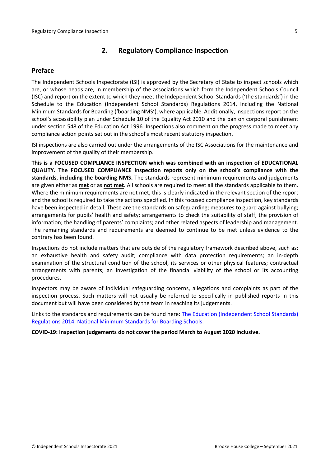# <span id="page-4-0"></span>**2. Regulatory Compliance Inspection**

# <span id="page-4-1"></span>**Preface**

The Independent Schools Inspectorate (ISI) is approved by the Secretary of State to inspect schools which are, or whose heads are, in membership of the associations which form the Independent Schools Council (ISC) and report on the extent to which they meet the Independent School Standards ('the standards') in the Schedule to the Education (Independent School Standards) Regulations 2014, including the National Minimum Standards for Boarding ('boarding NMS'), where applicable. Additionally, inspections report on the school's accessibility plan under Schedule 10 of the Equality Act 2010 and the ban on corporal punishment under section 548 of the Education Act 1996. Inspections also comment on the progress made to meet any compliance action points set out in the school's most recent statutory inspection.

ISI inspections are also carried out under the arrangements of the ISC Associations for the maintenance and improvement of the quality of their membership.

**This is a FOCUSED COMPLIANCE INSPECTION which was combined with an inspection of EDUCATIONAL QUALITY. The FOCUSED COMPLIANCE inspection reports only on the school's compliance with the standards**, **including the boarding NMS.** The standards represent minimum requirements and judgements are given either as **met** or as **not met**. All schools are required to meet all the standards applicable to them. Where the minimum requirements are not met, this is clearly indicated in the relevant section of the report and the school is required to take the actions specified. In this focused compliance inspection, key standards have been inspected in detail. These are the standards on safeguarding; measures to guard against bullying; arrangements for pupils' health and safety; arrangements to check the suitability of staff; the provision of information; the handling of parents' complaints; and other related aspects of leadership and management. The remaining standards and requirements are deemed to continue to be met unless evidence to the contrary has been found.

Inspections do not include matters that are outside of the regulatory framework described above, such as: an exhaustive health and safety audit; compliance with data protection requirements; an in-depth examination of the structural condition of the school, its services or other physical features; contractual arrangements with parents; an investigation of the financial viability of the school or its accounting procedures.

Inspectors may be aware of individual safeguarding concerns, allegations and complaints as part of the inspection process. Such matters will not usually be referred to specifically in published reports in this document but will have been considered by the team in reaching its judgements.

Links to the standards and requirements can be found here: The Education [\(Independent](http://www.legislation.gov.uk/uksi/2014/3283/contents/made) School Standards) [Regulations](http://www.legislation.gov.uk/uksi/2014/3283/contents/made) 2014, National Minimum [Standards](https://www.gov.uk/government/uploads/system/uploads/attachment_data/file/416186/20150319_nms_bs_standards.pdf) for Boarding Schools.

**COVID-19: Inspection judgements do not cover the period March to August 2020 inclusive.**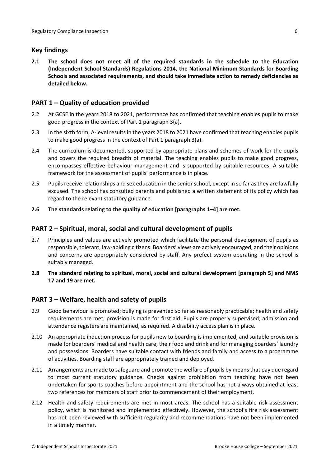# <span id="page-5-0"></span>**Key findings**

**2.1 The school does not meet all of the required standards in the schedule to the Education (Independent School Standards) Regulations 2014, the National Minimum Standards for Boarding Schools and associated requirements, and should take immediate action to remedy deficiencies as detailed below.**

# <span id="page-5-1"></span>**PART 1 – Quality of education provided**

- 2.2 At GCSE in the years 2018 to 2021, performance has confirmed that teaching enables pupils to make good progress in the context of Part 1 paragraph 3(a).
- 2.3 In the sixth form, A-level resultsin the years 2018 to 2021 have confirmed that teaching enables pupils to make good progress in the context of Part 1 paragraph 3(a).
- 2.4 The curriculum is documented, supported by appropriate plans and schemes of work for the pupils and covers the required breadth of material. The teaching enables pupils to make good progress, encompasses effective behaviour management and is supported by suitable resources. A suitable framework for the assessment of pupils' performance is in place.
- 2.5 Pupils receive relationships and sex education in the senior school, except in so far as they are lawfully excused. The school has consulted parents and published a written statement of its policy which has regard to the relevant statutory guidance.
- **2.6 The standards relating to the quality of education [paragraphs 1–4] are met.**

# <span id="page-5-2"></span>**PART 2 – Spiritual, moral, social and cultural development of pupils**

- 2.7 Principles and values are actively promoted which facilitate the personal development of pupils as responsible, tolerant, law-abiding citizens. Boarders' views are actively encouraged, and their opinions and concerns are appropriately considered by staff. Any prefect system operating in the school is suitably managed.
- **2.8 The standard relating to spiritual, moral, social and cultural development [paragraph 5] and NMS 17 and 19 are met.**

# <span id="page-5-3"></span>**PART 3 – Welfare, health and safety of pupils**

- 2.9 Good behaviour is promoted; bullying is prevented so far as reasonably practicable; health and safety requirements are met; provision is made for first aid. Pupils are properly supervised; admission and attendance registers are maintained, as required. A disability access plan is in place.
- 2.10 An appropriate induction process for pupils new to boarding is implemented, and suitable provision is made for boarders' medical and health care, their food and drink and for managing boarders' laundry and possessions. Boarders have suitable contact with friends and family and access to a programme of activities. Boarding staff are appropriately trained and deployed.
- 2.11 Arrangements are made to safeguard and promote the welfare of pupils by means that pay due regard to most current statutory guidance. Checks against prohibition from teaching have not been undertaken for sports coaches before appointment and the school has not always obtained at least two references for members of staff prior to commencement of their employment.
- 2.12 Health and safety requirements are met in most areas. The school has a suitable risk assessment policy, which is monitored and implemented effectively. However, the school's fire risk assessment has not been reviewed with sufficient regularity and recommendations have not been implemented in a timely manner.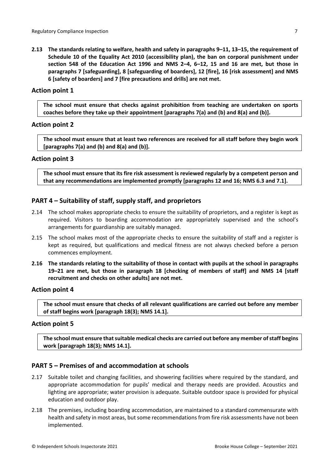**2.13 The standards relating to welfare, health and safety in paragraphs 9–11, 13–15, the requirement of Schedule 10 of the Equality Act 2010 (accessibility plan), the ban on corporal punishment under section 548 of the Education Act 1996 and NMS 2–4, 6–12, 15 and 16 are met, but those in paragraphs 7 [safeguarding], 8 [safeguarding of boarders], 12 [fire], 16 [risk assessment] and NMS 6 [safety of boarders] and 7 [fire precautions and drills] are not met.**

#### **Action point 1**

**The school must ensure that checks against prohibition from teaching are undertaken on sports coaches before they take up their appointment [paragraphs 7(a) and (b) and 8(a) and (b)].**

#### **Action point 2**

The school must ensure that at least two references are received for all staff before they begin work **[paragraphs 7(a) and (b) and 8(a) and (b)].**

#### **Action point 3**

**The school must ensure that its fire risk assessment is reviewed regularly by a competent person and that any recommendations are implemented promptly [paragraphs 12 and 16; NMS 6.3 and 7.1].**

# <span id="page-6-0"></span>**PART 4 – Suitability of staff, supply staff, and proprietors**

- 2.14 The school makes appropriate checks to ensure the suitability of proprietors, and a register is kept as required. Visitors to boarding accommodation are appropriately supervised and the school's arrangements for guardianship are suitably managed.
- 2.15 The school makes most of the appropriate checks to ensure the suitability of staff and a register is kept as required, but qualifications and medical fitness are not always checked before a person commences employment.
- 2.16 The standards relating to the suitability of those in contact with pupils at the school in paragraphs **19–21 are met, but those in paragraph 18 [checking of members of staff] and NMS 14 [staff recruitment and checks on other adults] are not met.**

#### **Action point 4**

**The school must ensure that checks of all relevant qualifications are carried out before any member of staff begins work [paragraph 18(3); NMS 14.1].**

#### **Action point 5**

**The school must ensure thatsuitable medical checks are carried out before any member ofstaff begins work [paragraph 18(3); NMS 14.1].**

# <span id="page-6-1"></span>**PART 5 – Premises of and accommodation at schools**

- 2.17 Suitable toilet and changing facilities, and showering facilities where required by the standard, and appropriate accommodation for pupils' medical and therapy needs are provided. Acoustics and lighting are appropriate; water provision is adequate. Suitable outdoor space is provided for physical education and outdoor play.
- 2.18 The premises, including boarding accommodation, are maintained to a standard commensurate with health and safety in most areas, but some recommendations from fire risk assessments have not been implemented.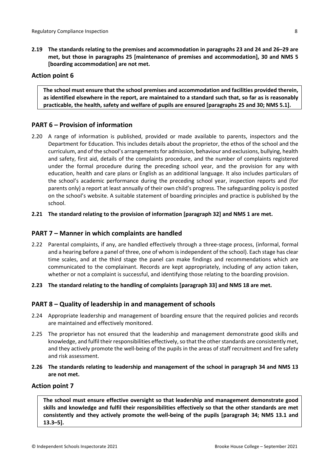**2.19 The standards relating to the premises and accommodation in paragraphs 23 and 24 and 26–29 are met, but those in paragraphs 25 [maintenance of premises and accommodation], 30 and NMS 5 [boarding accommodation] are not met.**

# **Action point 6**

**The school must ensure that the school premises and accommodation and facilities provided therein,** as identified elsewhere in the report, are maintained to a standard such that, so far as is reasonably **practicable, the health, safety and welfare of pupils are ensured [paragraphs 25 and 30; NMS 5.1].**

# <span id="page-7-0"></span>**PART 6 – Provision of information**

2.20 A range of information is published, provided or made available to parents, inspectors and the Department for Education. This includes details about the proprietor, the ethos of the school and the curriculum, and of the school's arrangementsfor admission, behaviour and exclusions, bullying, health and safety, first aid, details of the complaints procedure, and the number of complaints registered under the formal procedure during the preceding school year, and the provision for any with education, health and care plans or English as an additional language. It also includes particulars of the school's academic performance during the preceding school year, inspection reports and (for parents only) a report at least annually of their own child's progress. The safeguarding policy is posted on the school's website. A suitable statement of boarding principles and practice is published by the school.

#### **2.21 The standard relating to the provision of information [paragraph 32] and NMS 1 are met.**

# <span id="page-7-1"></span>**PART 7 – Manner in which complaints are handled**

- 2.22 Parental complaints, if any, are handled effectively through a three-stage process, (informal, formal and a hearing before a panel of three, one of whom is independent of the school). Each stage has clear time scales, and at the third stage the panel can make findings and recommendations which are communicated to the complainant. Records are kept appropriately, including of any action taken, whether or not a complaint is successful, and identifying those relating to the boarding provision.
- **2.23 The standard relating to the handling of complaints [paragraph 33] and NMS 18 are met.**

# <span id="page-7-2"></span>**PART 8 – Quality of leadership in and management of schools**

- 2.24 Appropriate leadership and management of boarding ensure that the required policies and records are maintained and effectively monitored.
- 2.25 The proprietor has not ensured that the leadership and management demonstrate good skills and knowledge, and fulfil their responsibilities effectively, so that the other standards are consistently met, and they actively promote the well-being of the pupils in the areas of staff recruitment and fire safety and risk assessment.
- **2.26 The standards relating to leadership and management of the school in paragraph 34 and NMS 13 are not met.**

#### **Action point 7**

**The school must ensure effective oversight so that leadership and management demonstrate good skills and knowledge and fulfil their responsibilities effectively so that the other standards are met consistently and they actively promote the well-being of the pupils [paragraph 34; NMS 13.1 and 13.3–5].**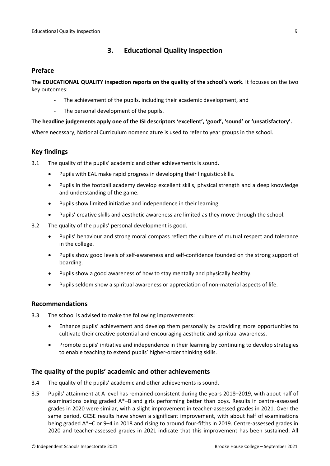# <span id="page-8-0"></span>**3. Educational Quality Inspection**

# <span id="page-8-1"></span>**Preface**

**The EDUCATIONAL QUALITY inspection reports on the quality of the school's work**. It focuses on the two key outcomes:

- The achievement of the pupils, including their academic development, and
- The personal development of the pupils.

#### **The headline judgements apply one of the ISI descriptors 'excellent', 'good', 'sound' or 'unsatisfactory'.**

Where necessary, National Curriculum nomenclature is used to refer to year groups in the school.

# <span id="page-8-2"></span>**Key findings**

3.1 The quality of the pupils' academic and other achievements is sound.

- Pupils with EAL make rapid progress in developing their linguistic skills.
- Pupils in the football academy develop excellent skills, physical strength and a deep knowledge and understanding of the game.
- Pupils show limited initiative and independence in their learning.
- Pupils' creative skills and aesthetic awareness are limited as they move through the school.
- 3.2 The quality of the pupils' personal development is good.
	- Pupils' behaviour and strong moral compass reflect the culture of mutual respect and tolerance in the college.
	- Pupils show good levels of self-awareness and self-confidence founded on the strong support of boarding.
	- Pupils show a good awareness of how to stay mentally and physically healthy.
	- Pupils seldom show a spiritual awareness or appreciation of non-material aspects of life.

#### <span id="page-8-3"></span>**Recommendations**

- 3.3 The school is advised to make the following improvements:
	- Enhance pupils' achievement and develop them personally by providing more opportunities to cultivate their creative potential and encouraging aesthetic and spiritual awareness.
	- Promote pupils' initiative and independence in their learning by continuing to develop strategies to enable teaching to extend pupils' higher-order thinking skills.

# <span id="page-8-4"></span>**The quality of the pupils' academic and other achievements**

- 3.4 The quality of the pupils' academic and other achievements is sound.
- 3.5 Pupils' attainment at A level has remained consistent during the years 2018–2019, with about half of examinations being graded A\*–B and girls performing better than boys. Results in centre-assessed grades in 2020 were similar, with a slight improvement in teacher-assessed grades in 2021. Over the same period, GCSE results have shown a significant improvement, with about half of examinations being graded A\*–C or 9–4 in 2018 and rising to around four-fifths in 2019. Centre-assessed grades in 2020 and teacher-assessed grades in 2021 indicate that this improvement has been sustained. All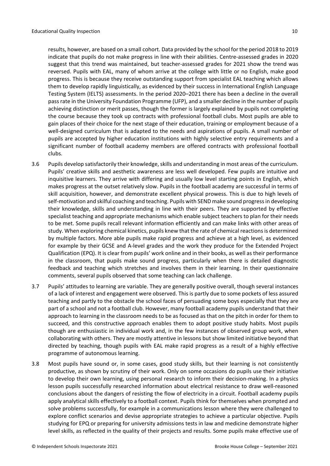results, however, are based on a small cohort. Data provided by the school for the period 2018 to 2019 indicate that pupils do not make progress in line with their abilities. Centre-assessed grades in 2020 suggest that this trend was maintained, but teacher-assessed grades for 2021 show the trend was reversed. Pupils with EAL, many of whom arrive at the college with little or no English, make good progress. This is because they receive outstanding support from specialist EAL teaching which allows them to develop rapidly linguistically, as evidenced by their success in International English Language Testing System (IELTS) assessments. In the period 2020–2021 there has been a decline in the overall passrate in the University Foundation Programme (UFP), and a smaller decline in the number of pupils achieving distinction or merit passes, though the former is largely explained by pupils not completing the course because they took up contracts with professional football clubs. Most pupils are able to gain places of their choice for the next stage of their education, training or employment because of a well-designed curriculum that is adapted to the needs and aspirations of pupils. A small number of pupils are accepted by higher education institutions with highly selective entry requirements and a significant number of football academy members are offered contracts with professional football clubs.

- 3.6 Pupils develop satisfactorily their knowledge, skills and understanding in most areas of the curriculum. Pupils' creative skills and aesthetic awareness are less well developed. Few pupils are intuitive and inquisitive learners. They arrive with differing and usually low level starting points in English, which makes progress at the outset relatively slow. Pupils in the football academy are successful in terms of skill acquisition, however, and demonstrate excellent physical prowess. This is due to high levels of self-motivation and skilful coaching and teaching. Pupils with SEND make sound progressin developing their knowledge, skills and understanding in line with their peers. They are supported by effective specialist teaching and appropriate mechanisms which enable subject teachers to plan for their needs to be met. Some pupils recall relevant information efficiently and can make links with other areas of study. When exploring chemical kinetics, pupils knew that the rate of chemical reactions is determined by multiple factors. More able pupils make rapid progress and achieve at a high level, as evidenced for example by their GCSE and A-level grades and the work they produce for the Extended Project Qualification (EPQ). It is clear from pupils' work online and in their books, as well as their performance in the classroom, that pupils make sound progress, particularly when there is detailed diagnostic feedback and teaching which stretches and involves them in their learning. In their questionnaire comments, several pupils observed that some teaching can lack challenge.
- 3.7 Pupils' attitudes to learning are variable. They are generally positive overall, though several instances of a lack of interest and engagement were observed. This is partly due to some pockets of less assured teaching and partly to the obstacle the school faces of persuading some boys especially that they are part of a school and not a football club. However, many football academy pupils understand that their approach to learning in the classroom needs to be as focused as that on the pitch in order for them to succeed, and this constructive approach enables them to adopt positive study habits. Most pupils though are enthusiastic in individual work and, in the few instances of observed group work, when collaborating with others. They are mostly attentive in lessons but show limited initiative beyond that directed by teaching, though pupils with EAL make rapid progress as a result of a highly effective programme of autonomous learning.
- 3.8 Most pupils have sound or, in some cases, good study skills, but their learning is not consistently productive, as shown by scrutiny of their work. Only on some occasions do pupils use their initiative to develop their own learning, using personal research to inform their decision-making. In a physics lesson pupils successfully researched information about electrical resistance to draw well-reasoned conclusions about the dangers of resisting the flow of electricity in a circuit. Football academy pupils apply analytical skills effectively to a football context. Pupils think for themselves when prompted and solve problems successfully, for example in a communications lesson where they were challenged to explore conflict scenarios and devise appropriate strategies to achieve a particular objective. Pupils studying for EPQ or preparing for university admissions tests in law and medicine demonstrate higher level skills, as reflected in the quality of their projects and results. Some pupils make effective use of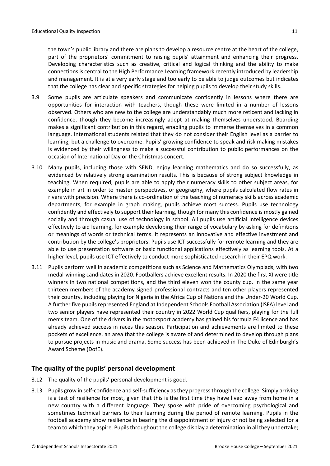the town's public library and there are plans to develop a resource centre at the heart of the college, part of the proprietors' commitment to raising pupils' attainment and enhancing their progress. Developing characteristics such as creative, critical and logical thinking and the ability to make connections is central to the High Performance Learning framework recently introduced by leadership and management. It is at a very early stage and too early to be able to judge outcomes but indicates that the college has clear and specific strategies for helping pupils to develop their study skills.

- 3.9 Some pupils are articulate speakers and communicate confidently in lessons where there are opportunities for interaction with teachers, though these were limited in a number of lessons observed. Others who are new to the college are understandably much more reticent and lacking in confidence, though they become increasingly adept at making themselves understood. Boarding makes a significant contribution in this regard, enabling pupils to immerse themselves in a common language. International students related that they do not consider their English level as a barrier to learning, but a challenge to overcome. Pupils' growing confidence to speak and risk making mistakes is evidenced by their willingness to make a successful contribution to public performances on the occasion of International Day or the Christmas concert.
- 3.10 Many pupils, including those with SEND, enjoy learning mathematics and do so successfully, as evidenced by relatively strong examination results. This is because of strong subject knowledge in teaching. When required, pupils are able to apply their numeracy skills to other subject areas, for example in art in order to master perspectives, or geography, where pupils calculated flow rates in rivers with precision. Where there is co-ordination of the teaching of numeracy skills across academic departments, for example in graph making, pupils achieve most success. Pupils use technology confidently and effectively to support their learning, though for many this confidence is mostly gained socially and through casual use of technology in school. All pupils use artificial intelligence devices effectively to aid learning, for example developing their range of vocabulary by asking for definitions or meanings of words or technical terms. It represents an innovative and effective investment and contribution by the college's proprietors. Pupils use ICT successfully for remote learning and they are able to use presentation software or basic functional applications effectively as learning tools. At a higher level, pupils use ICT effectively to conduct more sophisticated research in their EPQ work.
- 3.11 Pupils perform well in academic competitions such as Science and Mathematics Olympiads, with two medal-winning candidates in 2020. Footballers achieve excellent results. In 2020 the first XI were title winners in two national competitions, and the third eleven won the county cup. In the same year thirteen members of the academy signed professional contracts and ten other players represented their country, including playing for Nigeria in the Africa Cup of Nations and the Under-20 World Cup. A further five pupils represented England at Independent Schools Football Association (ISFA) level and two senior players have represented their country in 2022 World Cup qualifiers, playing for the full men's team. One of the drivers in the motorsport academy has gained his formula F4 licence and has already achieved success in races this season. Participation and achievements are limited to these pockets of excellence, an area that the college is aware of and determined to develop through plans to pursue projects in music and drama. Some success has been achieved in The Duke of Edinburgh's Award Scheme (DofE).

# <span id="page-10-0"></span>**The quality of the pupils' personal development**

- 3.12 The quality of the pupils' personal development is good.
- 3.13 Pupils grow in self-confidence and self-sufficiency asthey progressthrough the college. Simply arriving is a test of resilience for most, given that this is the first time they have lived away from home in a new country with a different language. They spoke with pride of overcoming psychological and sometimes technical barriers to their learning during the period of remote learning. Pupils in the football academy show resilience in bearing the disappointment of injury or not being selected for a team to which they aspire. Pupils throughout the college display a determination in all they undertake;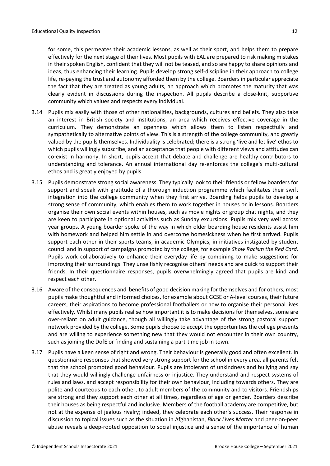for some, this permeates their academic lessons, as well as their sport, and helps them to prepare effectively for the next stage of their lives. Most pupils with EAL are prepared to risk making mistakes in their spoken English, confident that they will not be teased, and so are happy to share opinions and ideas, thus enhancing their learning. Pupils develop strong self-discipline in their approach to college life, re-paying the trust and autonomy afforded them by the college. Boarders in particular appreciate the fact that they are treated as young adults, an approach which promotes the maturity that was clearly evident in discussions during the inspection. All pupils describe a close-knit, supportive community which values and respects every individual.

- 3.14 Pupils mix easily with those of other nationalities, backgrounds, cultures and beliefs. They also take an interest in British society and institutions, an area which receives effective coverage in the curriculum. They demonstrate an openness which allows them to listen respectfully and sympathetically to alternative points of view. This is a strength of the college community, and greatly valued by the pupils themselves. Individuality is celebrated; there is a strong 'live and let live' ethos to which pupils willingly subscribe, and an acceptance that people with different views and attitudes can co-exist in harmony. In short, pupils accept that debate and challenge are healthy contributors to understanding and tolerance. An annual international day re-enforces the college's multi-cultural ethos and is greatly enjoyed by pupils.
- 3.15 Pupils demonstrate strong social awareness. They typically look to their friends or fellow boarders for support and speak with gratitude of a thorough induction programme which facilitates their swift integration into the college community when they first arrive. Boarding helps pupils to develop a strong sense of community, which enables them to work together in houses or in lessons. Boarders organise their own social events within houses, such as movie nights or group chat nights, and they are keen to participate in optional activities such as Sunday excursions. Pupils mix very well across year groups. A young boarder spoke of the way in which older boarding house residents assist him with homework and helped him settle in and overcome homesickness when he first arrived. Pupils support each other in their sports teams, in academic Olympics, in initiatives instigated by student council and in support of campaigns promoted by the college, for example *Show Racism the Red Card*. Pupils work collaboratively to enhance their everyday life by combining to make suggestions for improving their surroundings. They unselfishly recognise others' needs and are quick to support their friends. In their questionnaire responses, pupils overwhelmingly agreed that pupils are kind and respect each other.
- 3.16 Aware of the consequences and benefits of good decision making for themselves and for others, most pupils make thoughtful and informed choices, for example about GCSE or A-level courses, their future careers, their aspirations to become professional footballers or how to organise their personal lives effectively. Whilst many pupils realise how important it is to make decisions for themselves, some are over-reliant on adult guidance, though all willingly take advantage of the strong pastoral support network provided by the college. Some pupils choose to accept the opportunities the college presents and are willing to experience something new that they would not encounter in their own country, such as joining the DofE or finding and sustaining a part-time job in town.
- 3.17 Pupils have a keen sense of right and wrong. Their behaviour is generally good and often excellent. In questionnaire responses that showed very strong support for the school in every area, all parents felt that the school promoted good behaviour. Pupils are intolerant of unkindness and bullying and say that they would willingly challenge unfairness or injustice. They understand and respect systems of rules and laws, and accept responsibility for their own behaviour, including towards others. They are polite and courteous to each other, to adult members of the community and to visitors. Friendships are strong and they support each other at all times, regardless of age or gender. Boarders describe their houses as being respectful and inclusive. Members of the football academy are competitive, but not at the expense of jealous rivalry; indeed, they celebrate each other's success. Their response in discussion to topical issues such as the situation in Afghanistan, *Black Lives Matter* and peer-on-peer abuse reveals a deep-rooted opposition to social injustice and a sense of the importance of human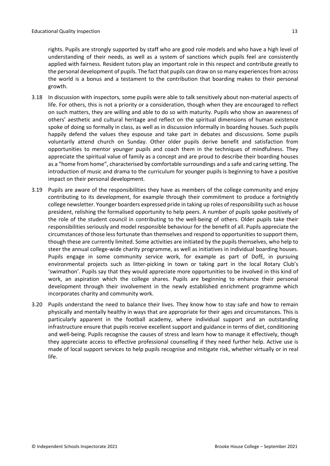rights. Pupils are strongly supported by staff who are good role models and who have a high level of understanding of their needs, as well as a system of sanctions which pupils feel are consistently applied with fairness. Resident tutors play an important role in this respect and contribute greatly to the personal development of pupils. The fact that pupils can draw on so many experiencesfrom across the world is a bonus and a testament to the contribution that boarding makes to their personal growth.

- 3.18 In discussion with inspectors, some pupils were able to talk sensitively about non-material aspects of life. For others, this is not a priority or a consideration, though when they are encouraged to reflect on such matters, they are willing and able to do so with maturity. Pupils who show an awareness of others' aesthetic and cultural heritage and reflect on the spiritual dimensions of human existence spoke of doing so formally in class, as well as in discussion informally in boarding houses. Such pupils happily defend the values they espouse and take part in debates and discussions. Some pupils voluntarily attend church on Sunday. Other older pupils derive benefit and satisfaction from opportunities to mentor younger pupils and coach them in the techniques of mindfulness. They appreciate the spiritual value of family as a concept and are proud to describe their boarding houses as a "home from home", characterised by comfortable surroundings and a safe and caring setting. The introduction of music and drama to the curriculum for younger pupils is beginning to have a positive impact on their personal development.
- 3.19 Pupils are aware of the responsibilities they have as members of the college community and enjoy contributing to its development, for example through their commitment to produce a fortnightly college newsletter. Younger boarders expressed pride in taking up roles of responsibility such as house president, relishing the formalised opportunity to help peers. A number of pupils spoke positively of the role of the student council in contributing to the well-being of others. Older pupils take their responsibilities seriously and model responsible behaviour for the benefit of all. Pupils appreciate the circumstances of those less fortunate than themselves and respond to opportunities to support them, though these are currently limited. Some activities are initiated by the pupils themselves, who help to steer the annual college-wide charity programme, as well as initiatives in individual boarding houses. Pupils engage in some community service work, for example as part of DofE, in pursuing environmental projects such as litter-picking in town or taking part in the local Rotary Club's 'swimathon'. Pupils say that they would appreciate more opportunities to be involved in this kind of work, an aspiration which the college shares. Pupils are beginning to enhance their personal development through their involvement in the newly established enrichment programme which incorporates charity and community work.
- 3.20 Pupils understand the need to balance their lives. They know how to stay safe and how to remain physically and mentally healthy in ways that are appropriate for their ages and circumstances. This is particularly apparent in the football academy, where individual support and an outstanding infrastructure ensure that pupils receive excellent support and guidance in terms of diet, conditioning and well-being. Pupils recognise the causes of stress and learn how to manage it effectively, though they appreciate access to effective professional counselling if they need further help. Active use is made of local support services to help pupils recognise and mitigate risk, whether virtually or in real life.